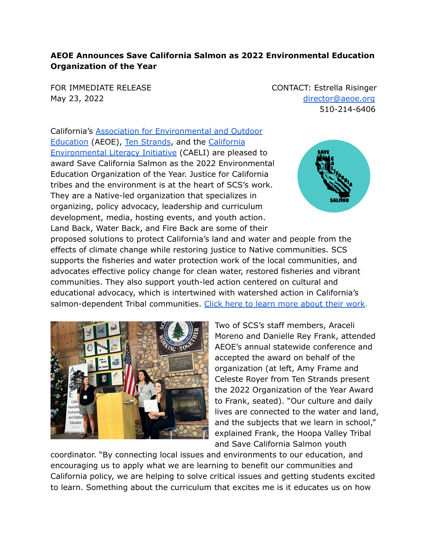## **AEOE Announces Save California Salmon as 2022 Environmental Education Organization of the Year**

FOR IMMEDIATE RELEASE CONTACT: Estrella Risinger May 23, 2022 [director@aeoe.org](mailto:director@aeoe.org) 510-214-6406

California's Association for [Environmental](http://aeoe.org) and Outdoor [Education](http://aeoe.org) (AEOE), Ten [Strands](https://aeoe.org/EmailTracker/LinkTracker.ashx?linkAndRecipientCode=p1EnZvJS6sZopIgfmAcvG1IX3zMCDmitGD3HPFVYcYOD%2brseSPZUioCeb%2f86yOOZojlMFHhwhCVFxYdDVNSTEymtca1Dg9ChIDv3BgO2NBE%3d), and the [California](https://aeoe.org/EmailTracker/LinkTracker.ashx?linkAndRecipientCode=YC6ORgFvfS%2fG460BkcsvSDPypL6%2bPYvwd6BRXqTkQbzzcaM6TqZZDapd%2f6USaf2GYpl5IlgQ40KCucAC5cUfsxuMvbBPxSF%2bSkWzU0%2bJ6M4%3d) [Environmental](https://aeoe.org/EmailTracker/LinkTracker.ashx?linkAndRecipientCode=YC6ORgFvfS%2fG460BkcsvSDPypL6%2bPYvwd6BRXqTkQbzzcaM6TqZZDapd%2f6USaf2GYpl5IlgQ40KCucAC5cUfsxuMvbBPxSF%2bSkWzU0%2bJ6M4%3d) Literacy Initiative (CAELI) are pleased to award Save California Salmon as the 2022 Environmental Education Organization of the Year. Justice for California tribes and the environment is at the heart of SCS's work. They are a Native-led organization that specializes in organizing, policy advocacy, leadership and curriculum development, media, hosting events, and youth action. Land Back, Water Back, and Fire Back are some of their



proposed solutions to protect California's land and water and people from the effects of climate change while restoring justice to Native communities. SCS supports the fisheries and water protection work of the local communities, and advocates effective policy change for clean water, restored fisheries and vibrant communities. They also support youth-led action centered on cultural and educational advocacy, which is intertwined with watershed action in California's salmon-dependent Tribal communities. Click here to learn more [about](https://aeoe.org/EmailTracker/LinkTracker.ashx?linkAndRecipientCode=bqse3lOt69f5AkW98hCRkepGpOR0paLqHuOivEwhOvJ3VeReqHEuSFg47mK%2bRWdQ1bkUXUZ5V0wqtq5LPfDSanXz1ovDQ5CZR4OoFNBbGXQ%3d) their work.



Two of SCS's staff members, Araceli Moreno and Danielle Rey Frank, attended AEOE's annual statewide conference and accepted the award on behalf of the organization (at left, Amy Frame and Celeste Royer from Ten Strands present the 2022 Organization of the Year Award to Frank, seated). "Our culture and daily lives are connected to the water and land, and the subjects that we learn in school," explained Frank, the Hoopa Valley Tribal and Save California Salmon youth

coordinator. "By connecting local issues and environments to our education, and encouraging us to apply what we are learning to benefit our communities and California policy, we are helping to solve critical issues and getting students excited to learn. Something about the curriculum that excites me is it educates us on how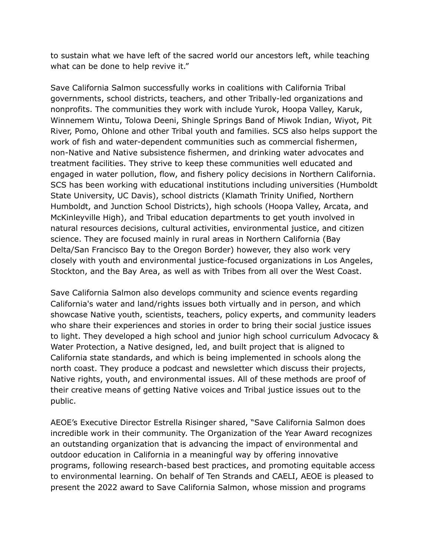to sustain what we have left of the sacred world our ancestors left, while teaching what can be done to help revive it."

Save California Salmon successfully works in coalitions with California Tribal governments, school districts, teachers, and other Tribally-led organizations and nonprofits. The communities they work with include Yurok, Hoopa Valley, Karuk, Winnemem Wintu, Tolowa Deeni, Shingle Springs Band of Miwok Indian, Wiyot, Pit River, Pomo, Ohlone and other Tribal youth and families. SCS also helps support the work of fish and water-dependent communities such as commercial fishermen, non-Native and Native subsistence fishermen, and drinking water advocates and treatment facilities. They strive to keep these communities well educated and engaged in water pollution, flow, and fishery policy decisions in Northern California. SCS has been working with educational institutions including universities (Humboldt State University, UC Davis), school districts (Klamath Trinity Unified, Northern Humboldt, and Junction School Districts), high schools (Hoopa Valley, Arcata, and McKinleyville High), and Tribal education departments to get youth involved in natural resources decisions, cultural activities, environmental justice, and citizen science. They are focused mainly in rural areas in Northern California (Bay Delta/San Francisco Bay to the Oregon Border) however, they also work very closely with youth and environmental justice-focused organizations in Los Angeles, Stockton, and the Bay Area, as well as with Tribes from all over the West Coast.

Save California Salmon also develops community and science events regarding California's water and land/rights issues both virtually and in person, and which showcase Native youth, scientists, teachers, policy experts, and community leaders who share their experiences and stories in order to bring their social justice issues to light. They developed a high school and junior high school curriculum Advocacy & Water Protection, a Native designed, led, and built project that is aligned to California state standards, and which is being implemented in schools along the north coast. They produce a podcast and newsletter which discuss their projects, Native rights, youth, and environmental issues. All of these methods are proof of their creative means of getting Native voices and Tribal justice issues out to the public.

AEOE's Executive Director Estrella Risinger shared, "Save California Salmon does incredible work in their community. The Organization of the Year Award recognizes an outstanding organization that is advancing the impact of environmental and outdoor education in California in a meaningful way by offering innovative programs, following research-based best practices, and promoting equitable access to environmental learning. On behalf of Ten Strands and CAELI, AEOE is pleased to present the 2022 award to Save California Salmon, whose mission and programs